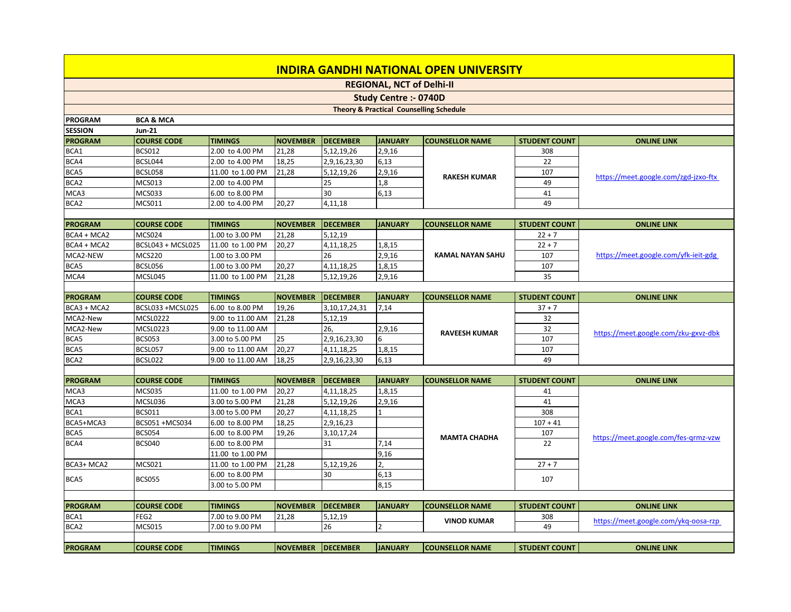## **INDIRA GANDHI NATIONAL OPEN UNIVERSITY**

**REGIONAL, NCT of Delhi-II**

## **Study Centre :- 0740D**

## **Theory & Practical Counselling Schedule**

| <b>PROGRAM</b>   | <b>BCA &amp; MCA</b> |                  |                 |                  |                |                         |                      |                                      |
|------------------|----------------------|------------------|-----------------|------------------|----------------|-------------------------|----------------------|--------------------------------------|
| <b>SESSION</b>   | <b>Jun-21</b>        |                  |                 |                  |                |                         |                      |                                      |
| <b>PROGRAM</b>   | <b>COURSE CODE</b>   | <b>TIMINGS</b>   | <b>NOVEMBER</b> | <b>IDECEMBER</b> | <b>JANUARY</b> | <b>ICOUNSELLOR NAME</b> | <b>STUDENT COUNT</b> | <b>ONLINE LINK</b>                   |
| BCA1             | <b>BCS012</b>        | 2.00 to 4.00 PM  | 21,28           | 5,12,19,26       | 2,9,16         |                         | 308                  |                                      |
| BCA4             | BCSL044              | 2.00 to 4.00 PM  | 18,25           | 2,9,16,23,30     | 6,13           |                         | 22                   | https://meet.google.com/zgd-jzxo-ftx |
| BCA5             | BCSL058              | 11.00 to 1.00 PM | 21,28           | 5,12,19,26       | 2,9,16         | <b>RAKESH KUMAR</b>     | 107                  |                                      |
| BCA <sub>2</sub> | MCS013               | 2.00 to 4.00 PM  |                 | 25               | 1,8            |                         | 49                   |                                      |
| MCA3             | MCS033               | 6.00 to 8.00 PM  |                 | 30               | 6,13           |                         | 41                   |                                      |
| BCA <sub>2</sub> | <b>MCS011</b>        | 2.00 to 4.00 PM  | 20,27           | 4,11,18          |                |                         | 49                   |                                      |
|                  |                      |                  |                 |                  |                |                         |                      |                                      |

| <b>PROGRAM</b> | <b>ICOURSE CODE</b> | <b>ITIMINGS</b>  | INOVEMBER IDECEMBER |               | <b>JANUARY</b> | <b>COUNSELLOR NAME</b> | <b>STUDENT COUNT</b> | <b>ONLINE LINK</b>                   |
|----------------|---------------------|------------------|---------------------|---------------|----------------|------------------------|----------------------|--------------------------------------|
| $BCA4 + MCA2$  | MCS024              | 1.00 to 3.00 PM  | 21.28               | 5,12,19       |                |                        | $22 + 7$             |                                      |
| $BCA4 + MCA2$  | BCSL043 + MCSL025   | 11.00 to 1.00 PM | 20.27               | 4, 11, 18, 25 | 1,8,15         |                        | $22 + 7$             |                                      |
| MCA2-NEW       | MCS220              | 1.00 to 3.00 PM  |                     | 26            | 2,9,16         | KAMAL NAYAN SAHU       | 107                  | https://meet.google.com/yfk-ieit-gdg |
| BCA5           | BCSL056             | 1.00 to 3.00 PM  | 20,27               | 4, 11, 18, 25 | 1,8,15         |                        | 107                  |                                      |
| MCA4           | MCSL045             | 11.00 to 1.00 PM | 21.28               | 5,12,19,26    | 2,9,16         |                        | 35                   |                                      |

| <b>PROGRAM</b>   | <b>ICOURSE CODE</b> | <b>TIMINGS</b>    | <b>INOVEMBER</b> | <b>IDECEMBER</b> | <b>JANUARY</b> | <b>ICOUNSELLOR NAME</b> | l student count l | <b>ONLINE LINK</b>                   |
|------------------|---------------------|-------------------|------------------|------------------|----------------|-------------------------|-------------------|--------------------------------------|
|                  |                     |                   |                  |                  |                |                         |                   |                                      |
| $BCA3 + MCA2$    | BCSL033 +MCSL025    | 6.00 to 8.00 PM   | 19.26            | 3,10,17,24,31    | 7,14           |                         | $37 + 7$          |                                      |
| MCA2-New         | MCSL0222            | 19.00 to 11.00 AM | 21.28            | 5,12,19          |                |                         | 32                | https://meet.google.com/zku-gxvz-dbk |
| MCA2-New         | MCSL0223            | 19.00 to 11.00 AM |                  | Zb,              | 2,9,16         | <b>RAVEESH KUMAR</b>    | 32                |                                      |
| BCA5             | <b>BCS053</b>       | 3.00 to 5.00 PM   | 25               | 2,9,16,23,30     |                |                         | 107               |                                      |
| BCA5             | BCSL057             | 9.00 to 11.00 AM  | 20.27            | 4,11,18,25       | 1,8,15         |                         | 107               |                                      |
| BCA <sub>2</sub> | BCSL022             | 9.00 to 11.00 AM  | 18,25            | 2,9,16,23,30     | 6,13           |                         | 49                |                                      |

Τ

| <b>PROGRAM</b> | <b>COURSE CODE</b> | <b>TIMINGS</b>   | <b>NOVEMBER</b> | <b>IDECEMBER</b> | <b>JANUARY</b> | <b>COUNSELLOR NAME</b> | <b>STUDENT COUNT</b> | <b>ONLINE LINK</b>                   |
|----------------|--------------------|------------------|-----------------|------------------|----------------|------------------------|----------------------|--------------------------------------|
| MCA3           | <b>MCS035</b>      | 11.00 to 1.00 PM | 20,27           | 4,11,18,25       | 1,8,15         |                        | 41                   |                                      |
| MCA3           | MCSL036            | 13.00 to 5.00 PM | 21,28           | 5,12,19,26       | 2,9,16         |                        | 41                   |                                      |
| BCA1           | <b>BCS011</b>      | 13.00 to 5.00 PM | 20,27           | 4,11,18,25       |                |                        | 308                  |                                      |
| BCA5+MCA3      | BCS051 +MCS034     | 16.00 to 8.00 PM | 18,25           | 2,9,16,23        |                |                        | $107 + 41$           |                                      |
| BCA5           | <b>BCS054</b>      | 16.00 to 8.00 PM | 19,26           | 3, 10, 17, 24    |                | <b>MAMTA CHADHA</b>    | 107                  | https://meet.google.com/fes-grmz-vzw |
| BCA4           | BCS040             | 16.00 to 8.00 PM |                 |                  | 7,14           |                        | 22                   |                                      |
|                |                    | 11.00 to 1.00 PM |                 |                  | 9,16           |                        |                      |                                      |
| BCA3+ MCA2     | MCS021             | 11.00 to 1.00 PM | 21,28           | 5,12,19,26       |                |                        | $27 + 7$             |                                      |
| BCA5           | <b>BCS055</b>      | 16.00 to 8.00 PM |                 | 130              | 6,13           |                        | 107                  |                                      |
|                |                    | 3.00 to 5.00 PM  |                 |                  | 8,15           |                        |                      |                                      |
|                |                    |                  |                 |                  |                |                        |                      |                                      |
| <b>PROGRAM</b> | <b>COURSE CODE</b> | <b>TIMINGS</b>   | <b>NOVEMBER</b> | <b>IDECEMBER</b> | <b>JANUARY</b> | <b>COUNSELLOR NAME</b> | <b>STUDENT COUNT</b> | <b>ONLINE LINK</b>                   |

| BCA1             | FEG <sub>2</sub>    | 7.00 to 9.00 PM | 21,28            | 5,12,19          |                | <b>VINOD KUMAR</b>     | 308                  | pogle.com/ykg-oosa-rzp |
|------------------|---------------------|-----------------|------------------|------------------|----------------|------------------------|----------------------|------------------------|
| BCA <sub>2</sub> | MCS015              | 7.00 to 9.00 PM |                  | zn               |                |                        | 49                   |                        |
|                  |                     |                 |                  |                  |                |                        |                      |                        |
| <b>PROGRAM</b>   | <b>ICOURSE CODE</b> | <b>ITIMINGS</b> | <b>INOVEMBER</b> | <b>IDECEMBER</b> | <b>JANUARY</b> | <b>COUNSELLOR NAME</b> | <b>STUDENT COUNT</b> | <b>ONLINE LINK</b>     |